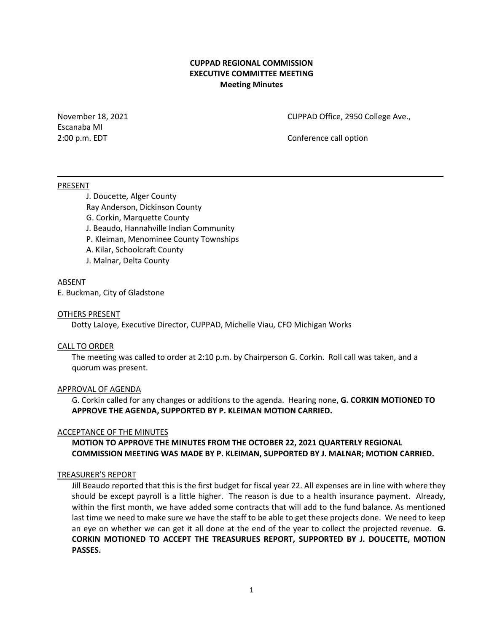## **CUPPAD REGIONAL COMMISSION EXECUTIVE COMMITTEE MEETING Meeting Minutes**

Escanaba MI

November 18, 2021 CUPPAD Office, 2950 College Ave.,

2:00 p.m. EDT Conference call option

#### PRESENT

J. Doucette, Alger County Ray Anderson, Dickinson County G. Corkin, Marquette County J. Beaudo, Hannahville Indian Community P. Kleiman, Menominee County Townships A. Kilar, Schoolcraft County

J. Malnar, Delta County

# ABSENT

E. Buckman, City of Gladstone

### OTHERS PRESENT

Dotty LaJoye, Executive Director, CUPPAD, Michelle Viau, CFO Michigan Works

### CALL TO ORDER

The meeting was called to order at 2:10 p.m. by Chairperson G. Corkin. Roll call was taken, and a quorum was present.

### APPROVAL OF AGENDA

G. Corkin called for any changes or additions to the agenda. Hearing none, **G. CORKIN MOTIONED TO APPROVE THE AGENDA, SUPPORTED BY P. KLEIMAN MOTION CARRIED.**

### ACCEPTANCE OF THE MINUTES

**MOTION TO APPROVE THE MINUTES FROM THE OCTOBER 22, 2021 QUARTERLY REGIONAL COMMISSION MEETING WAS MADE BY P. KLEIMAN, SUPPORTED BY J. MALNAR; MOTION CARRIED.**

### TREASURER'S REPORT

Jill Beaudo reported that this is the first budget for fiscal year 22. All expenses are in line with where they should be except payroll is a little higher. The reason is due to a health insurance payment. Already, within the first month, we have added some contracts that will add to the fund balance. As mentioned last time we need to make sure we have the staff to be able to get these projects done. We need to keep an eye on whether we can get it all done at the end of the year to collect the projected revenue. **G. CORKIN MOTIONED TO ACCEPT THE TREASURUES REPORT, SUPPORTED BY J. DOUCETTE, MOTION PASSES.**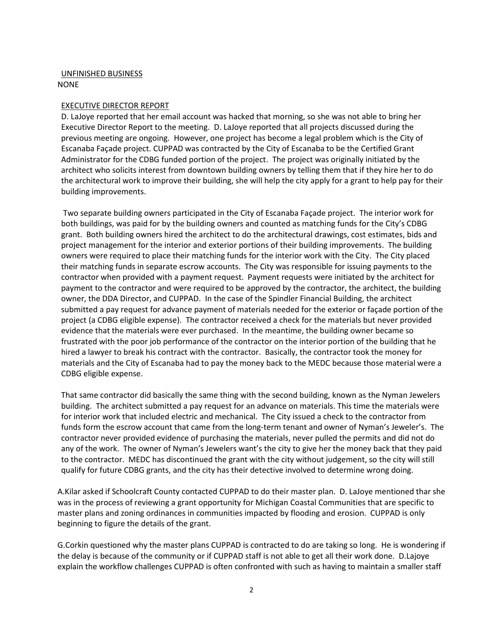## UNFINISHED BUSINESS NONE

## EXECUTIVE DIRECTOR REPORT

D. LaJoye reported that her email account was hacked that morning, so she was not able to bring her Executive Director Report to the meeting. D. LaJoye reported that all projects discussed during the previous meeting are ongoing. However, one project has become a legal problem which is the City of Escanaba Façade project. CUPPAD was contracted by the City of Escanaba to be the Certified Grant Administrator for the CDBG funded portion of the project. The project was originally initiated by the architect who solicits interest from downtown building owners by telling them that if they hire her to do the architectural work to improve their building, she will help the city apply for a grant to help pay for their building improvements.

Two separate building owners participated in the City of Escanaba Façade project. The interior work for both buildings, was paid for by the building owners and counted as matching funds for the City's CDBG grant. Both building owners hired the architect to do the architectural drawings, cost estimates, bids and project management for the interior and exterior portions of their building improvements. The building owners were required to place their matching funds for the interior work with the City. The City placed their matching funds in separate escrow accounts. The City was responsible for issuing payments to the contractor when provided with a payment request. Payment requests were initiated by the architect for payment to the contractor and were required to be approved by the contractor, the architect, the building owner, the DDA Director, and CUPPAD. In the case of the Spindler Financial Building, the architect submitted a pay request for advance payment of materials needed for the exterior or façade portion of the project (a CDBG eligible expense). The contractor received a check for the materials but never provided evidence that the materials were ever purchased. In the meantime, the building owner became so frustrated with the poor job performance of the contractor on the interior portion of the building that he hired a lawyer to break his contract with the contractor. Basically, the contractor took the money for materials and the City of Escanaba had to pay the money back to the MEDC because those material were a CDBG eligible expense.

That same contractor did basically the same thing with the second building, known as the Nyman Jewelers building. The architect submitted a pay request for an advance on materials. This time the materials were for interior work that included electric and mechanical. The City issued a check to the contractor from funds form the escrow account that came from the long-term tenant and owner of Nyman's Jeweler's. The contractor never provided evidence of purchasing the materials, never pulled the permits and did not do any of the work. The owner of Nyman's Jewelers want's the city to give her the money back that they paid to the contractor. MEDC has discontinued the grant with the city without judgement, so the city will still qualify for future CDBG grants, and the city has their detective involved to determine wrong doing.

A.Kilar asked if Schoolcraft County contacted CUPPAD to do their master plan. D. LaJoye mentioned thar she was in the process of reviewing a grant opportunity for Michigan Coastal Communities that are specific to master plans and zoning ordinances in communities impacted by flooding and erosion. CUPPAD is only beginning to figure the details of the grant.

G.Corkin questioned why the master plans CUPPAD is contracted to do are taking so long. He is wondering if the delay is because of the community or if CUPPAD staff is not able to get all their work done. D.Lajoye explain the workflow challenges CUPPAD is often confronted with such as having to maintain a smaller staff